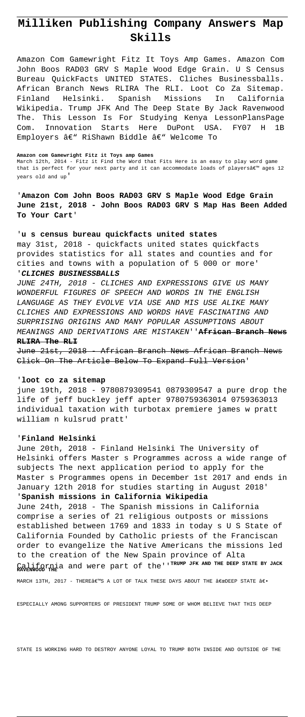# **Milliken Publishing Company Answers Map Skills**

Amazon Com Gamewright Fitz It Toys Amp Games. Amazon Com John Boos RAD03 GRV S Maple Wood Edge Grain. U S Census Bureau QuickFacts UNITED STATES. Cliches Businessballs. African Branch News RLIRA The RLI. Loot Co Za Sitemap. Finland Helsinki. Spanish Missions In California Wikipedia. Trump JFK And The Deep State By Jack Ravenwood The. This Lesson Is For Studying Kenya LessonPlansPage Com. Innovation Starts Here DuPont USA. FY07 H 1B Employers  $\hat{a} \in \mathbb{N}$  RiShawn Biddle  $\hat{a} \in \mathbb{N}$  Welcome To

#### **Amazon com Gamewright Fitz it Toys amp Games**

March 12th, 2014 - Fitz it Find the Word that Fits Here is an easy to play word game that is perfect for your next party and it can accommodate loads of playersâ $\epsilon^m$  ages 12 years old and up'

June 21st, 2018 - African Branch News African Branch News Click On The Article Below To Expand Full Version'

'**Amazon Com John Boos RAD03 GRV S Maple Wood Edge Grain June 21st, 2018 - John Boos RAD03 GRV S Map Has Been Added To Your Cart**'

# '**u s census bureau quickfacts united states**

may 31st, 2018 - quickfacts united states quickfacts provides statistics for all states and counties and for cities and towns with a population of 5 000 or more'

# '**CLICHES BUSINESSBALLS**

JUNE 24TH, 2018 - CLICHES AND EXPRESSIONS GIVE US MANY WONDERFUL FIGURES OF SPEECH AND WORDS IN THE ENGLISH LANGUAGE AS THEY EVOLVE VIA USE AND MIS USE ALIKE MANY CLICHES AND EXPRESSIONS AND WORDS HAVE FASCINATING AND SURPRISING ORIGINS AND MANY POPULAR ASSUMPTIONS ABOUT MEANINGS AND DERIVATIONS ARE MISTAKEN''**African Branch News RLIRA The RLI**

### '**loot co za sitemap**

june 19th, 2018 - 9780879309541 0879309547 a pure drop the life of jeff buckley jeff apter 9780759363014 0759363013 individual taxation with turbotax premiere james w pratt william n kulsrud pratt'

# '**Finland Helsinki**

June 20th, 2018 - Finland Helsinki The University of Helsinki offers Master s Programmes across a wide range of subjects The next application period to apply for the Master s Programmes opens in December 1st 2017 and ends in January 12th 2018 for studies starting in August 2018' '**Spanish missions in California Wikipedia** June 24th, 2018 - The Spanish missions in California comprise a series of 21 religious outposts or missions

established between 1769 and 1833 in today s U S State of California Founded by Catholic priests of the Franciscan

MARCH 13TH, 2017 - THERE $\hat{a} \in \mathbb{R}^N$  a lot of talk these days about the  $\hat{a} \in \mathbb{C}$ 

order to evangelize the Native Americans the missions led to the creation of the New Spain province of Alta California and were part of the''**TRUMP JFK AND THE DEEP STATE BY JACK RAVENWOOD THE**

ESPECIALLY AMONG SUPPORTERS OF PRESIDENT TRUMP SOME OF WHOM BELIEVE THAT THIS DEEP

STATE IS WORKING HARD TO DESTROY ANYONE LOYAL TO TRUMP BOTH INSIDE AND OUTSIDE OF THE